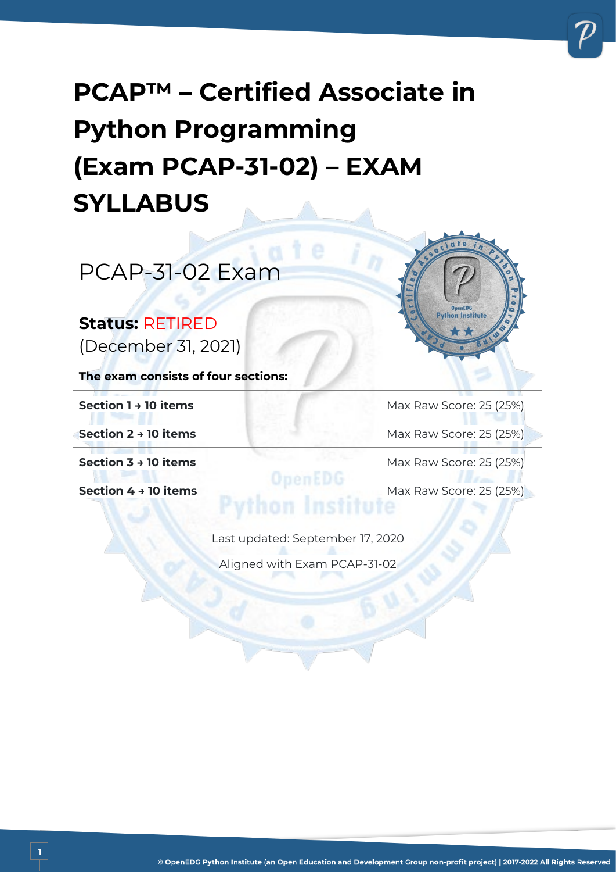# **PCAP™ – Certified Associate in Python Programming (Exam PCAP-31-02) – EXAM SYLLABUS**

PCAP-31-02 Exam

#### **Status:** RETIRED

(December 31, 2021)

**The exam consists of four sections:**

**1**

**Section 1→ 10 items** Max Raw Score: 25 (25%)

on Institute

**Section 2 → 10 items** Max Raw Score: 25 (25%)

**Section 3 → 10 items** Max Raw Score: 25 (25%)

**Section 4 → 10 items** Max Raw Score: 25 (25%)

Last updated: September 17, 2020

Aligned with Exam PCAP-31-02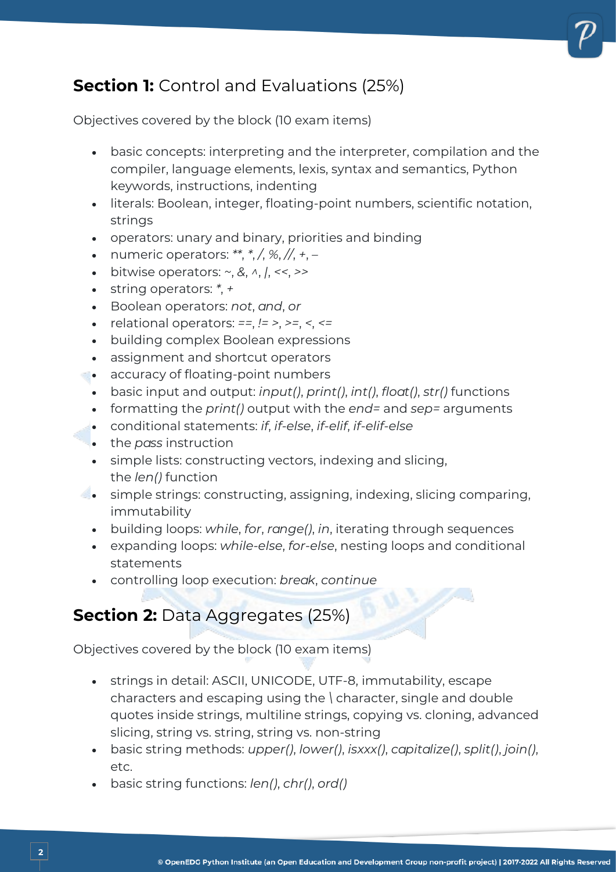## **Section 1:** Control and Evaluations (25%)

Objectives covered by the block (10 exam items)

- basic concepts: interpreting and the interpreter, compilation and the compiler, language elements, lexis, syntax and semantics, Python keywords, instructions, indenting
- literals: Boolean, integer, floating-point numbers, scientific notation, strings
- operators: unary and binary, priorities and binding
- numeric operators: *\*\**, *\**, */*, *%*, *//*, *+*, *–*
- bitwise operators: *~*, *&*, *^*, *|*, *<<*, *>>*
- string operators: *\**, *+*
- Boolean operators: *not*, *and*, *or*
- relational operators: *==*, *!= >*, *>=*, *<*, *<=*
- building complex Boolean expressions
- assignment and shortcut operators
- accuracy of floating-point numbers
	- basic input and output: *input()*, *print()*, *int()*, *float()*, *str()* functions
	- formatting the *print()* output with the *end=* and *sep=* arguments
	- conditional statements: *if*, *if-else*, *if-elif*, *if-elif-else*
	- the *pass* instruction
	- simple lists: constructing vectors, indexing and slicing, the *len()* function
- simple strings: constructing, assigning, indexing, slicing comparing, immutability
	- building loops: *while*, *for*, *range()*, *in*, iterating through sequences
	- expanding loops: *while-else*, *for-else*, nesting loops and conditional statements
	- controlling loop execution: *break*, *continue*

# **Section 2: Data Aggregates (25%)**

Objectives covered by the block (10 exam items)

- strings in detail: ASCII, UNICODE, UTF-8, immutability, escape characters and escaping using the *\* character, single and double quotes inside strings, multiline strings, copying vs. cloning, advanced slicing, string vs. string, string vs. non-string
- basic string methods: *upper()*, *lower()*, *isxxx()*, *capitalize()*, *split()*, *join()*, etc.
- basic string functions: *len()*, *chr()*, *ord()*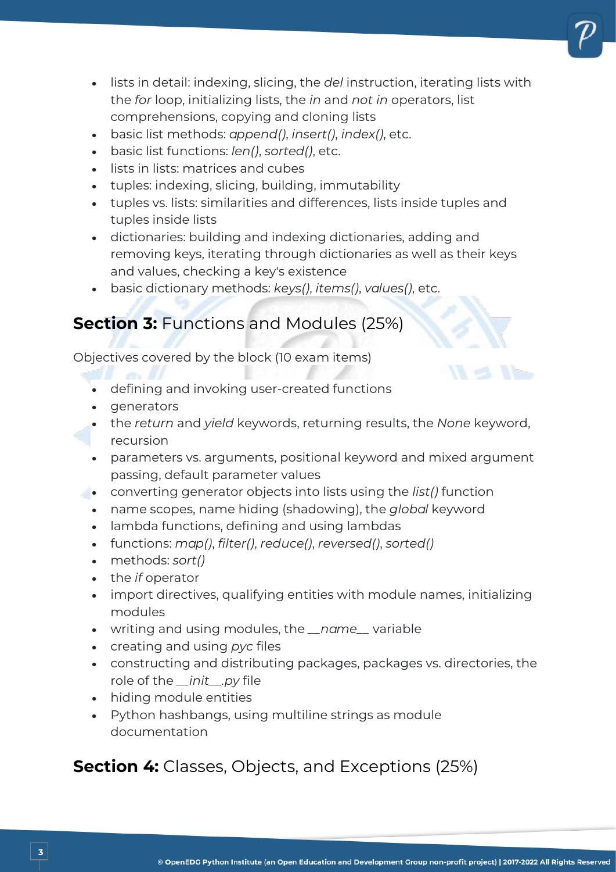- lists in detail: indexing, slicing, the *del* instruction, iterating lists with the *for* loop, initializing lists, the *in* and *not in* operators, list comprehensions, copying and cloning lists
- basic list methods: *append()*, *insert()*, *index()*, etc.
- basic list functions: *len()*, *sorted()*, etc.
- lists in lists: matrices and cubes
- tuples: indexing, slicing, building, immutability
- tuples vs. lists: similarities and differences, lists inside tuples and tuples inside lists
- dictionaries: building and indexing dictionaries, adding and removing keys, iterating through dictionaries as well as their keys and values, checking a key's existence
- basic dictionary methods: *keys()*, *items()*, *values()*, etc.

#### **Section 3:** Functions and Modules (25%)

Objectives covered by the block (10 exam items)

- defining and invoking user-created functions
- generators
- the *return* and *yield* keywords, returning results, the *None* keyword, recursion
- parameters vs. arguments, positional keyword and mixed argument passing, default parameter values
- converting generator objects into lists using the *list()* function
	- name scopes, name hiding (shadowing), the *global* keyword
	- lambda functions, defining and using lambdas
	- functions: *map()*, *filter()*, *reduce()*, *reversed()*, *sorted()*
	- methods: *sort()*
	- the *if* operator
	- import directives, qualifying entities with module names, initializing modules
	- writing and using modules, the *\_\_name\_\_* variable
	- creating and using *pyc* files
	- constructing and distributing packages, packages vs. directories, the role of the *\_\_init\_\_.py* file
	- hiding module entities
	- Python hashbangs, using multiline strings as module documentation

### **Section 4:** Classes, Objects, and Exceptions (25%)